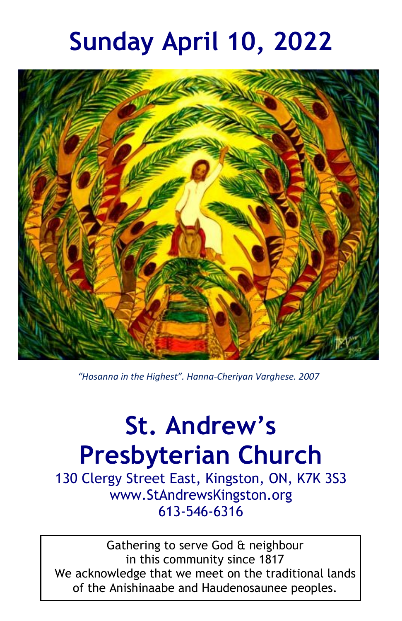# **Sunday April 10, 2022**



*"Hosanna in the Highest". Hanna-Cheriyan Varghese. 2007*

# **St. Andrew's Presbyterian Church**

130 Clergy Street East, Kingston, ON, K7K 3S3 www.StAndrewsKingston.org 613-546-6316

Gathering to serve God & neighbour in this community since 1817 We acknowledge that we meet on the traditional lands of the Anishinaabe and Haudenosaunee peoples.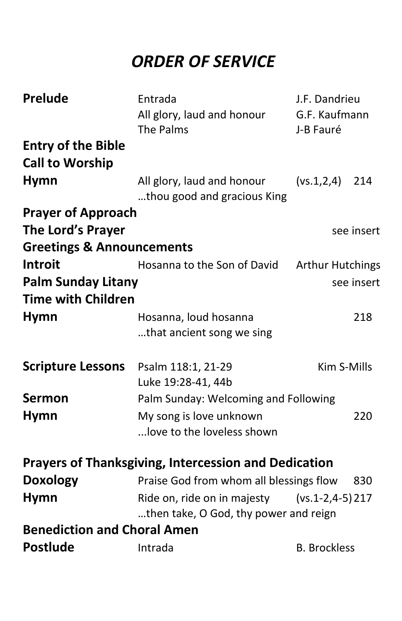# *ORDER OF SERVICE*

| <b>Prelude</b><br><b>Entry of the Bible</b> | Entrada<br>All glory, laud and honour<br>The Palms                   | J.F. Dandrieu<br>G.F. Kaufmann<br>J-B Fauré |
|---------------------------------------------|----------------------------------------------------------------------|---------------------------------------------|
| <b>Call to Worship</b>                      |                                                                      |                                             |
| <b>Hymn</b>                                 | All glory, laud and honour<br>thou good and gracious King            | (vs.1,2,4)<br>214                           |
| <b>Prayer of Approach</b>                   |                                                                      |                                             |
| <b>The Lord's Prayer</b>                    |                                                                      | see insert                                  |
| <b>Greetings &amp; Announcements</b>        |                                                                      |                                             |
| <b>Introit</b>                              | Hosanna to the Son of David                                          | <b>Arthur Hutchings</b>                     |
| <b>Palm Sunday Litany</b>                   |                                                                      | see insert                                  |
| <b>Time with Children</b>                   |                                                                      |                                             |
| <b>Hymn</b>                                 | Hosanna, loud hosanna                                                | 218                                         |
|                                             | that ancient song we sing                                            |                                             |
| <b>Scripture Lessons</b>                    | Psalm 118:1, 21-29                                                   | Kim S-Mills                                 |
| <b>Sermon</b>                               | Luke 19:28-41, 44b                                                   |                                             |
| <b>Hymn</b>                                 | Palm Sunday: Welcoming and Following<br>My song is love unknown      | 220                                         |
|                                             | love to the loveless shown                                           |                                             |
|                                             |                                                                      |                                             |
|                                             | <b>Prayers of Thanksgiving, Intercession and Dedication</b>          |                                             |
| <b>Doxology</b>                             | Praise God from whom all blessings flow                              | 830                                         |
| <b>Hymn</b>                                 | Ride on, ride on in majesty<br>then take, O God, thy power and reign | $(vs.1-2,4-5)$ 217                          |
| <b>Benediction and Choral Amen</b>          |                                                                      |                                             |
| <b>Postlude</b>                             | Intrada                                                              | <b>B. Brockless</b>                         |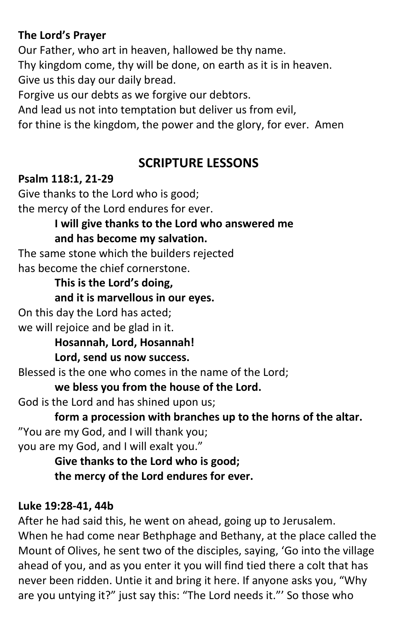#### **The Lord's Prayer**

Our Father, who art in heaven, hallowed be thy name. Thy kingdom come, thy will be done, on earth as it is in heaven. Give us this day our daily bread.

Forgive us our debts as we forgive our debtors.

And lead us not into temptation but deliver us from evil,

for thine is the kingdom, the power and the glory, for ever. Amen

#### **SCRIPTURE LESSONS**

#### **Psalm 118:1, 21-29**

Give thanks to the Lord who is good; the mercy of the Lord endures for ever.

> **I will give thanks to the Lord who answered me and has become my salvation.**

The same stone which the builders rejected has become the chief cornerstone.

#### **This is the Lord's doing,**

**and it is marvellous in our eyes.**

On this day the Lord has acted; we will rejoice and be glad in it.

**Hosannah, Lord, Hosannah!** 

#### **Lord, send us now success.**

Blessed is the one who comes in the name of the Lord;

**we bless you from the house of the Lord.**

God is the Lord and has shined upon us;

**form a procession with branches up to the horns of the altar.** "You are my God, and I will thank you;

you are my God, and I will exalt you."

**Give thanks to the Lord who is good; the mercy of the Lord endures for ever.**

#### **Luke 19:28-41, 44b**

After he had said this, he went on ahead, going up to Jerusalem. When he had come near Bethphage and Bethany, at the place called the Mount of Olives, he sent two of the disciples, saying, 'Go into the village ahead of you, and as you enter it you will find tied there a colt that has never been ridden. Untie it and bring it here. If anyone asks you, "Why are you untying it?" just say this: "The Lord needs it."' So those who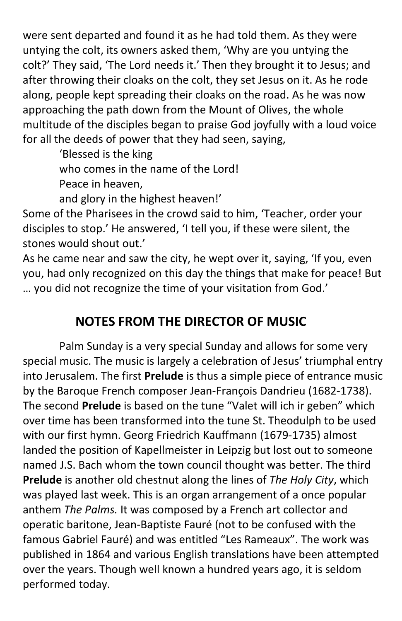were sent departed and found it as he had told them. As they were untying the colt, its owners asked them, 'Why are you untying the colt?' They said, 'The Lord needs it.' Then they brought it to Jesus; and after throwing their cloaks on the colt, they set Jesus on it. As he rode along, people kept spreading their cloaks on the road. As he was now approaching the path down from the Mount of Olives, the whole multitude of the disciples began to praise God joyfully with a loud voice for all the deeds of power that they had seen, saying,

> 'Blessed is the king who comes in the name of the Lord! Peace in heaven, and glory in the highest heaven!'

Some of the Pharisees in the crowd said to him, 'Teacher, order your disciples to stop.' He answered, 'I tell you, if these were silent, the stones would shout out.'

As he came near and saw the city, he wept over it, saying, 'If you, even you, had only recognized on this day the things that make for peace! But … you did not recognize the time of your visitation from God.'

# **NOTES FROM THE DIRECTOR OF MUSIC**

Palm Sunday is a very special Sunday and allows for some very special music. The music is largely a celebration of Jesus' triumphal entry into Jerusalem. The first **Prelude** is thus a simple piece of entrance music by the Baroque French composer Jean-François Dandrieu (1682-1738). The second **Prelude** is based on the tune "Valet will ich ir geben" which over time has been transformed into the tune St. Theodulph to be used with our first hymn. Georg Friedrich Kauffmann (1679-1735) almost landed the position of Kapellmeister in Leipzig but lost out to someone named J.S. Bach whom the town council thought was better. The third **Prelude** is another old chestnut along the lines of *The Holy City*, which was played last week. This is an organ arrangement of a once popular anthem *The Palms.* It was composed by a French art collector and operatic baritone, Jean-Baptiste Fauré (not to be confused with the famous Gabriel Fauré) and was entitled "Les Rameaux". The work was published in 1864 and various English translations have been attempted over the years. Though well known a hundred years ago, it is seldom performed today.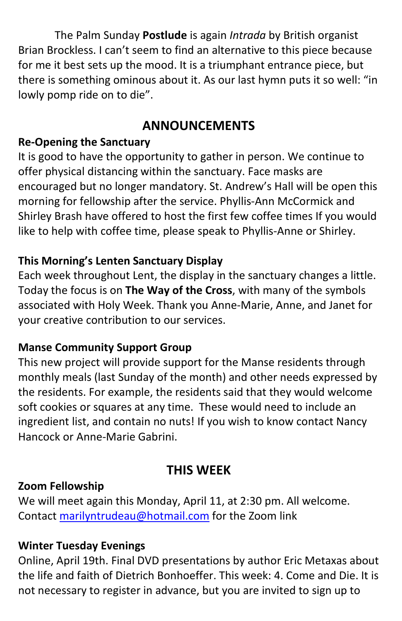The Palm Sunday **Postlude** is again *Intrada* by British organist Brian Brockless. I can't seem to find an alternative to this piece because for me it best sets up the mood. It is a triumphant entrance piece, but there is something ominous about it. As our last hymn puts it so well: "in lowly pomp ride on to die".

### **ANNOUNCEMENTS**

#### **Re-Opening the Sanctuary**

It is good to have the opportunity to gather in person. We continue to offer physical distancing within the sanctuary. Face masks are encouraged but no longer mandatory. St. Andrew's Hall will be open this morning for fellowship after the service. Phyllis-Ann McCormick and Shirley Brash have offered to host the first few coffee times If you would like to help with coffee time, please speak to Phyllis-Anne or Shirley.

#### **This Morning's Lenten Sanctuary Display**

Each week throughout Lent, the display in the sanctuary changes a little. Today the focus is on **The Way of the Cross**, with many of the symbols associated with Holy Week. Thank you Anne-Marie, Anne, and Janet for your creative contribution to our services.

#### **Manse Community Support Group**

This new project will provide support for the Manse residents through monthly meals (last Sunday of the month) and other needs expressed by the residents. For example, the residents said that they would welcome soft cookies or squares at any time. These would need to include an ingredient list, and contain no nuts! If you wish to know contact Nancy Hancock or Anne-Marie Gabrini.

# **THIS WEEK**

#### **Zoom Fellowship**

We will meet again this Monday, April 11, at 2:30 pm. All welcome. Contact [marilyntrudeau@hotmail.com](mailto:marilyntrudeau@hotmail.com) for the Zoom link

#### **Winter Tuesday Evenings**

Online, April 19th. Final DVD presentations by author Eric Metaxas about the life and faith of Dietrich Bonhoeffer. This week: 4. Come and Die. It is not necessary to register in advance, but you are invited to sign up to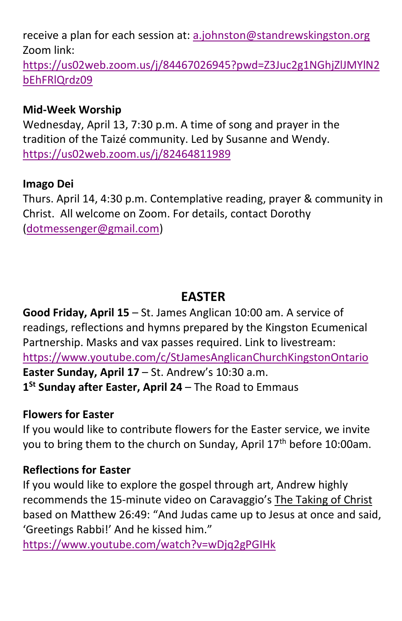receive a plan for each session at[: a.johnston@standrewskingston.org](mailto:a.johnston@standrewskingston.org)  Zoom link:

[https://us02web.zoom.us/j/84467026945?pwd=Z3Juc2g1NGhjZlJMYlN2](https://us02web.zoom.us/j/84467026945?pwd=Z3Juc2g1NGhjZlJMYlN2bEhFRlQrdz09) [bEhFRlQrdz09](https://us02web.zoom.us/j/84467026945?pwd=Z3Juc2g1NGhjZlJMYlN2bEhFRlQrdz09)

#### **Mid-Week Worship**

Wednesday, April 13, 7:30 p.m. A time of song and prayer in the tradition of the Taizé community. Led by Susanne and Wendy. <https://us02web.zoom.us/j/82464811989>

#### **Imago Dei**

Thurs. April 14, 4:30 p.m. Contemplative reading, prayer & community in Christ. All welcome on Zoom. For details, contact Dorothy [\(dotmessenger@gmail.com\)](mailto:dotmessenger@gmail.com)

## **EASTER**

**Good Friday, April 15** – St. James Anglican 10:00 am. A service of readings, reflections and hymns prepared by the Kingston Ecumenical Partnership. Masks and vax passes required. Link to livestream: <https://www.youtube.com/c/StJamesAnglicanChurchKingstonOntario> **Easter Sunday, April 17** – St. Andrew's 10:30 a.m. **1St Sunday after Easter, April 24** – The Road to Emmaus

#### **Flowers for Easter**

If you would like to contribute flowers for the Easter service, we invite you to bring them to the church on Sunday, April 17<sup>th</sup> before 10:00am.

#### **Reflections for Easter**

If you would like to explore the gospel through art, Andrew highly recommends the 15-minute video on Caravaggio's The Taking of Christ based on Matthew 26:49: "And Judas came up to Jesus at once and said, 'Greetings Rabbi!' And he kissed him."

<https://www.youtube.com/watch?v=wDjq2gPGIHk>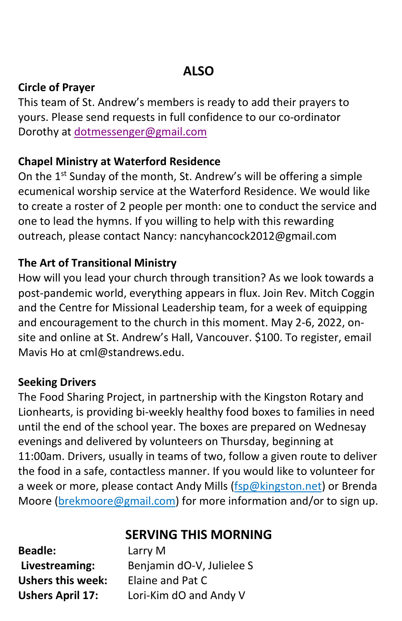## **ALSO**

#### **Circle of Prayer**

This team of St. Andrew's members is ready to add their prayers to yours. Please send requests in full confidence to our co-ordinator Dorothy at [dotmessenger@gmail.com](mailto:dotmessenger@gmail.com)

#### **Chapel Ministry at Waterford Residence**

On the 1<sup>st</sup> Sunday of the month, St. Andrew's will be offering a simple ecumenical worship service at the Waterford Residence. We would like to create a roster of 2 people per month: one to conduct the service and one to lead the hymns. If you willing to help with this rewarding outreach, please contact Nancy: nancyhancock2012@gmail.com

#### **The Art of Transitional Ministry**

How will you lead your church through transition? As we look towards a post-pandemic world, everything appears in flux. Join Rev. Mitch Coggin and the Centre for Missional Leadership team, for a week of equipping and encouragement to the church in this moment. May 2-6, 2022, onsite and online at St. Andrew's Hall, Vancouver. \$100. To register, email Mavis Ho at cml@standrews.edu.

#### **Seeking Drivers**

The Food Sharing Project, in partnership with the Kingston Rotary and Lionhearts, is providing bi-weekly healthy food boxes to families in need until the end of the school year. The boxes are prepared on Wednesay evenings and delivered by volunteers on Thursday, beginning at 11:00am. Drivers, usually in teams of two, follow a given route to deliver the food in a safe, contactless manner. If you would like to volunteer for a week or more, please contact Andy Mills (fsp@kingston.net) or Brenda Moore (brekmoore@gmail.com) for more information and/or to sign up.

**SERVING THIS MORNING**

| <b>Beadle:</b>          |  |  |  |
|-------------------------|--|--|--|
| Livestreaming:          |  |  |  |
| Ushers this week:       |  |  |  |
| <b>Ushers April 17:</b> |  |  |  |

**Beadle:** Larry M **Livestreaming:** Benjamin dO-V, Julielee S **Elaine and Pat C Ushers April 17:** Lori-Kim dO and Andy V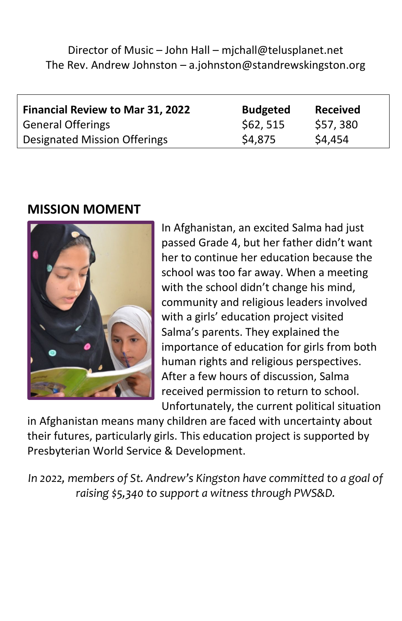Director of Music – John Hall – mjchall@telusplanet.net The Rev. Andrew Johnston – a.johnston@standrewskingston.org

| <b>Financial Review to Mar 31, 2022</b> | <b>Budgeted</b> | <b>Received</b> |
|-----------------------------------------|-----------------|-----------------|
| <b>General Offerings</b>                | \$62,515        | \$57,380        |
| Designated Mission Offerings            | \$4,875         | \$4,454         |

#### **MISSION MOMENT**



In Afghanistan, an excited Salma had just passed Grade 4, but her father didn't want her to continue her education because the school was too far away. When a meeting with the school didn't change his mind, community and religious leaders involved with a girls' education project visited Salma's parents. They explained the importance of education for girls from both human rights and religious perspectives. After a few hours of discussion, Salma received permission to return to school. Unfortunately, the current political situation

in Afghanistan means many children are faced with uncertainty about their futures, particularly girls. This education project is supported by Presbyterian World Service & Development.

*In 2022, members of St. Andrew's Kingston have committed to a goal of raising \$5,340 to support a witness through PWS&D.*